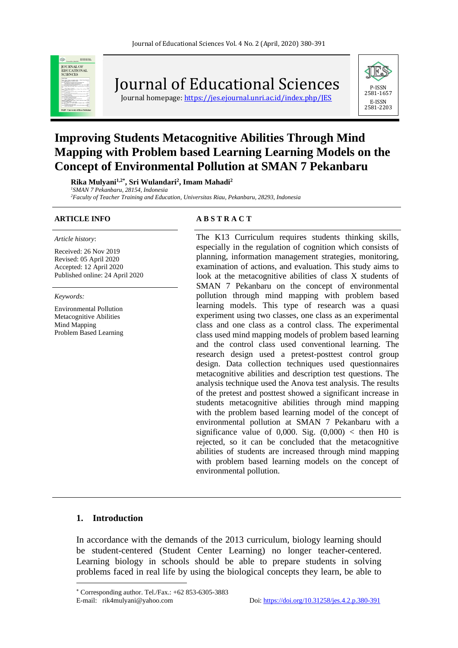

Journal of Educational Sciences

Journal homepage: https://jes.ejournal.unri.ac.id/index.php/IES



# **Improving Students Metacognitive Abilities Through Mind Mapping with Problem based Learning Learning Models on the Concept of Environmental Pollution at SMAN 7 Pekanbaru**

**Rika Mulyani1,2\* , Sri Wulandari<sup>2</sup> , Imam Mahadi<sup>2</sup>** *<sup>1</sup>SMAN 7 Pekanbaru, 28154, Indonesia <sup>2</sup>Faculty of Teacher Training and Education, Universitas Riau, Pekanbaru, 28293, Indonesia*

#### *Article history*:

Received: 26 Nov 2019 Revised: 05 April 2020 Accepted: 12 April 2020 Published online: 24 April 2020

*Keywords:*

Environmental Pollution Metacognitive Abilities Mind Mapping Problem Based Learning

#### **ARTICLE INFO A B S T R A C T**

The K13 Curriculum requires students thinking skills, especially in the regulation of cognition which consists of planning, information management strategies, monitoring, examination of actions, and evaluation. This study aims to look at the metacognitive abilities of class X students of SMAN 7 Pekanbaru on the concept of environmental pollution through mind mapping with problem based learning models. This type of research was a quasi experiment using two classes, one class as an experimental class and one class as a control class. The experimental class used mind mapping models of problem based learning and the control class used conventional learning. The research design used a pretest-posttest control group design. Data collection techniques used questionnaires metacognitive abilities and description test questions. The analysis technique used the Anova test analysis. The results of the pretest and posttest showed a significant increase in students metacognitive abilities through mind mapping with the problem based learning model of the concept of environmental pollution at SMAN 7 Pekanbaru with a significance value of 0,000. Sig.  $(0,000)$  < then H0 is rejected, so it can be concluded that the metacognitive abilities of students are increased through mind mapping with problem based learning models on the concept of environmental pollution.

#### **1. Introduction**

In accordance with the demands of the 2013 curriculum, biology learning should be student-centered (Student Center Learning) no longer teacher-centered. Learning biology in schools should be able to prepare students in solving problems faced in real life by using the biological concepts they learn, be able to

Corresponding author. Tel./Fax.: +62 853-6305-3883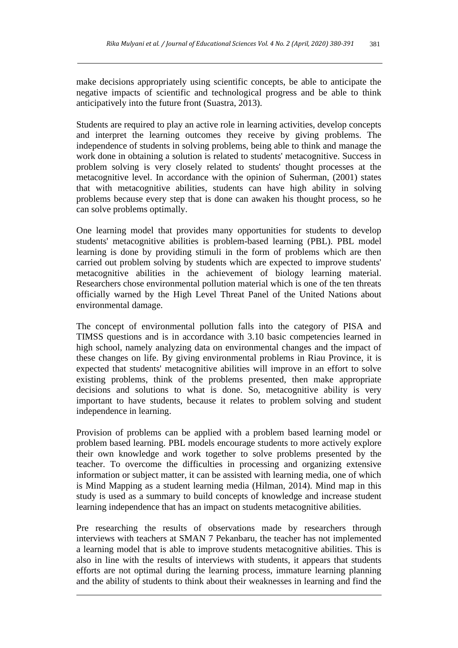make decisions appropriately using scientific concepts, be able to anticipate the negative impacts of scientific and technological progress and be able to think anticipatively into the future front (Suastra, 2013).

Students are required to play an active role in learning activities, develop concepts and interpret the learning outcomes they receive by giving problems. The independence of students in solving problems, being able to think and manage the work done in obtaining a solution is related to students' metacognitive. Success in problem solving is very closely related to students' thought processes at the metacognitive level. In accordance with the opinion of Suherman, (2001) states that with metacognitive abilities, students can have high ability in solving problems because every step that is done can awaken his thought process, so he can solve problems optimally.

One learning model that provides many opportunities for students to develop students' metacognitive abilities is problem-based learning (PBL). PBL model learning is done by providing stimuli in the form of problems which are then carried out problem solving by students which are expected to improve students' metacognitive abilities in the achievement of biology learning material. Researchers chose environmental pollution material which is one of the ten threats officially warned by the High Level Threat Panel of the United Nations about environmental damage.

The concept of environmental pollution falls into the category of PISA and TIMSS questions and is in accordance with 3.10 basic competencies learned in high school, namely analyzing data on environmental changes and the impact of these changes on life. By giving environmental problems in Riau Province, it is expected that students' metacognitive abilities will improve in an effort to solve existing problems, think of the problems presented, then make appropriate decisions and solutions to what is done. So, metacognitive ability is very important to have students, because it relates to problem solving and student independence in learning.

Provision of problems can be applied with a problem based learning model or problem based learning. PBL models encourage students to more actively explore their own knowledge and work together to solve problems presented by the teacher. To overcome the difficulties in processing and organizing extensive information or subject matter, it can be assisted with learning media, one of which is Mind Mapping as a student learning media (Hilman, 2014). Mind map in this study is used as a summary to build concepts of knowledge and increase student learning independence that has an impact on students metacognitive abilities.

Pre researching the results of observations made by researchers through interviews with teachers at SMAN 7 Pekanbaru, the teacher has not implemented a learning model that is able to improve students metacognitive abilities. This is also in line with the results of interviews with students, it appears that students efforts are not optimal during the learning process, immature learning planning and the ability of students to think about their weaknesses in learning and find the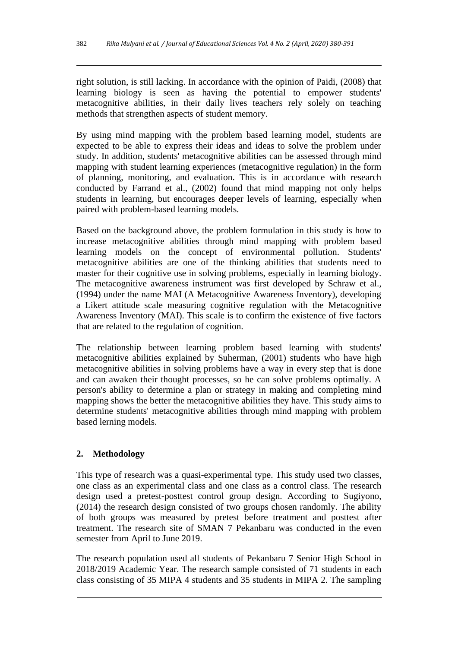right solution, is still lacking. In accordance with the opinion of Paidi, (2008) that learning biology is seen as having the potential to empower students' metacognitive abilities, in their daily lives teachers rely solely on teaching methods that strengthen aspects of student memory.

By using mind mapping with the problem based learning model, students are expected to be able to express their ideas and ideas to solve the problem under study. In addition, students' metacognitive abilities can be assessed through mind mapping with student learning experiences (metacognitive regulation) in the form of planning, monitoring, and evaluation. This is in accordance with research conducted by Farrand et al., (2002) found that mind mapping not only helps students in learning, but encourages deeper levels of learning, especially when paired with problem-based learning models.

Based on the background above, the problem formulation in this study is how to increase metacognitive abilities through mind mapping with problem based learning models on the concept of environmental pollution. Students' metacognitive abilities are one of the thinking abilities that students need to master for their cognitive use in solving problems, especially in learning biology. The metacognitive awareness instrument was first developed by Schraw et al., (1994) under the name MAI (A Metacognitive Awareness Inventory), developing a Likert attitude scale measuring cognitive regulation with the Metacognitive Awareness Inventory (MAI). This scale is to confirm the existence of five factors that are related to the regulation of cognition.

The relationship between learning problem based learning with students' metacognitive abilities explained by Suherman, (2001) students who have high metacognitive abilities in solving problems have a way in every step that is done and can awaken their thought processes, so he can solve problems optimally. A person's ability to determine a plan or strategy in making and completing mind mapping shows the better the metacognitive abilities they have. This study aims to determine students' metacognitive abilities through mind mapping with problem based lerning models.

## **2. Methodology**

This type of research was a quasi-experimental type. This study used two classes, one class as an experimental class and one class as a control class. The research design used a pretest-posttest control group design. According to Sugiyono, (2014) the research design consisted of two groups chosen randomly. The ability of both groups was measured by pretest before treatment and posttest after treatment. The research site of SMAN 7 Pekanbaru was conducted in the even semester from April to June 2019.

The research population used all students of Pekanbaru 7 Senior High School in 2018/2019 Academic Year. The research sample consisted of 71 students in each class consisting of 35 MIPA 4 students and 35 students in MIPA 2. The sampling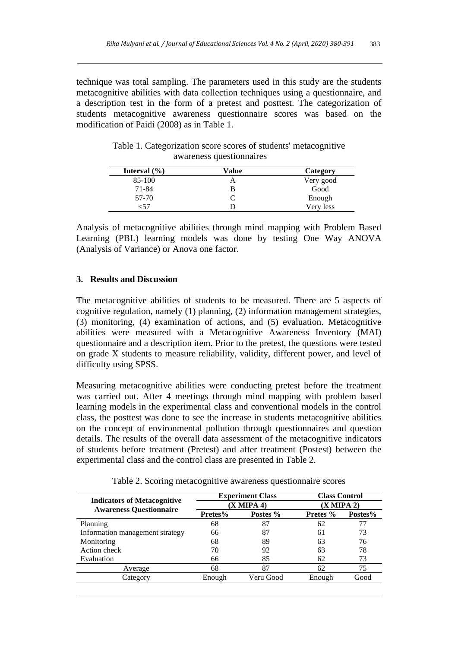technique was total sampling. The parameters used in this study are the students metacognitive abilities with data collection techniques using a questionnaire, and a description test in the form of a pretest and posttest. The categorization of students metacognitive awareness questionnaire scores was based on the modification of Paidi (2008) as in Table 1.

| Interval $(\% )$ | Value | Category  |
|------------------|-------|-----------|
| 85-100           |       | Very good |
| 71-84            |       | Good      |
| 57-70            |       | Enough    |
|                  |       | Very less |

Table 1. Categorization score scores of students' metacognitive awareness questionnaires

Analysis of metacognitive abilities through mind mapping with Problem Based Learning (PBL) learning models was done by testing One Way ANOVA (Analysis of Variance) or Anova one factor.

### **3. Results and Discussion**

The metacognitive abilities of students to be measured. There are 5 aspects of cognitive regulation, namely (1) planning, (2) information management strategies, (3) monitoring, (4) examination of actions, and (5) evaluation. Metacognitive abilities were measured with a Metacognitive Awareness Inventory (MAI) questionnaire and a description item. Prior to the pretest, the questions were tested on grade X students to measure reliability, validity, different power, and level of difficulty using SPSS.

Measuring metacognitive abilities were conducting pretest before the treatment was carried out. After 4 meetings through mind mapping with problem based learning models in the experimental class and conventional models in the control class, the posttest was done to see the increase in students metacognitive abilities on the concept of environmental pollution through questionnaires and question details. The results of the overall data assessment of the metacognitive indicators of students before treatment (Pretest) and after treatment (Postest) between the experimental class and the control class are presented in Table 2.

|                                                                      | <b>Experiment Class</b><br>$(X$ MIPA 4) |           | <b>Class Control</b> |         |
|----------------------------------------------------------------------|-----------------------------------------|-----------|----------------------|---------|
| <b>Indicators of Metacognitive</b><br><b>Awareness Questionnaire</b> |                                         |           | (X MIPA 2)           |         |
|                                                                      | Pretes%                                 | Postes %  | Pretes %             | Postes% |
| Planning                                                             | 68                                      | 87        | 62                   | 77      |
| Information management strategy                                      | 66                                      | 87        | 61                   | 73      |
| Monitoring                                                           | 68                                      | 89        | 63                   | 76      |
| Action check                                                         | 70                                      | 92        | 63                   | 78      |
| Evaluation                                                           | 66                                      | 85        | 62                   | 73      |
| Average                                                              | 68                                      | 87        | 62                   | 75      |
| Category                                                             | Enough                                  | Veru Good | Enough               | Good    |
|                                                                      |                                         |           |                      |         |

Table 2. Scoring metacognitive awareness questionnaire scores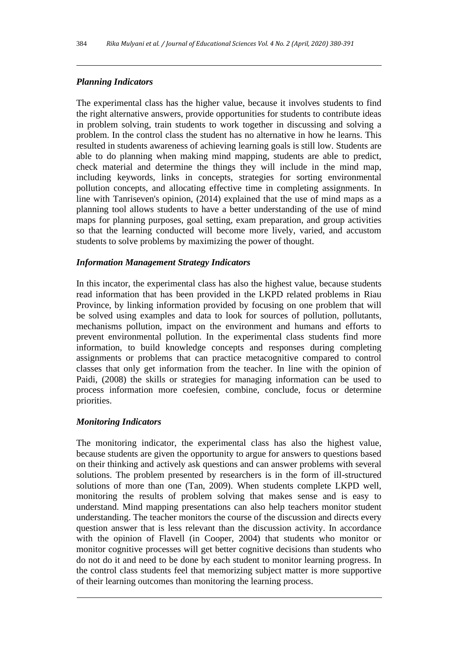## *Planning Indicators*

The experimental class has the higher value, because it involves students to find the right alternative answers, provide opportunities for students to contribute ideas in problem solving, train students to work together in discussing and solving a problem. In the control class the student has no alternative in how he learns. This resulted in students awareness of achieving learning goals is still low. Students are able to do planning when making mind mapping, students are able to predict, check material and determine the things they will include in the mind map, including keywords, links in concepts, strategies for sorting environmental pollution concepts, and allocating effective time in completing assignments. In line with Tanriseven's opinion, (2014) explained that the use of mind maps as a planning tool allows students to have a better understanding of the use of mind maps for planning purposes, goal setting, exam preparation, and group activities so that the learning conducted will become more lively, varied, and accustom students to solve problems by maximizing the power of thought.

### *Information Management Strategy Indicators*

In this incator, the experimental class has also the highest value, because students read information that has been provided in the LKPD related problems in Riau Province, by linking information provided by focusing on one problem that will be solved using examples and data to look for sources of pollution, pollutants, mechanisms pollution, impact on the environment and humans and efforts to prevent environmental pollution. In the experimental class students find more information, to build knowledge concepts and responses during completing assignments or problems that can practice metacognitive compared to control classes that only get information from the teacher. In line with the opinion of Paidi, (2008) the skills or strategies for managing information can be used to process information more coefesien, combine, conclude, focus or determine priorities.

### *Monitoring Indicators*

The monitoring indicator, the experimental class has also the highest value, because students are given the opportunity to argue for answers to questions based on their thinking and actively ask questions and can answer problems with several solutions. The problem presented by researchers is in the form of ill-structured solutions of more than one (Tan, 2009). When students complete LKPD well, monitoring the results of problem solving that makes sense and is easy to understand. Mind mapping presentations can also help teachers monitor student understanding. The teacher monitors the course of the discussion and directs every question answer that is less relevant than the discussion activity. In accordance with the opinion of Flavell (in Cooper, 2004) that students who monitor or monitor cognitive processes will get better cognitive decisions than students who do not do it and need to be done by each student to monitor learning progress. In the control class students feel that memorizing subject matter is more supportive of their learning outcomes than monitoring the learning process.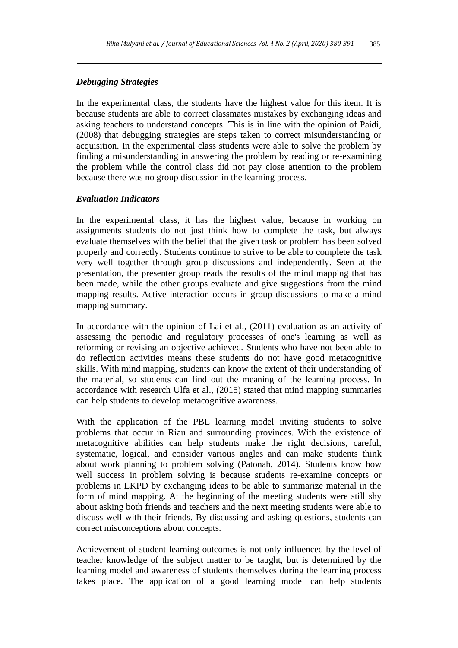## *Debugging Strategies*

In the experimental class, the students have the highest value for this item. It is because students are able to correct classmates mistakes by exchanging ideas and asking teachers to understand concepts. This is in line with the opinion of Paidi, (2008) that debugging strategies are steps taken to correct misunderstanding or acquisition. In the experimental class students were able to solve the problem by finding a misunderstanding in answering the problem by reading or re-examining the problem while the control class did not pay close attention to the problem because there was no group discussion in the learning process.

### *Evaluation Indicators*

In the experimental class, it has the highest value, because in working on assignments students do not just think how to complete the task, but always evaluate themselves with the belief that the given task or problem has been solved properly and correctly. Students continue to strive to be able to complete the task very well together through group discussions and independently. Seen at the presentation, the presenter group reads the results of the mind mapping that has been made, while the other groups evaluate and give suggestions from the mind mapping results. Active interaction occurs in group discussions to make a mind mapping summary.

In accordance with the opinion of Lai et al., (2011) evaluation as an activity of assessing the periodic and regulatory processes of one's learning as well as reforming or revising an objective achieved. Students who have not been able to do reflection activities means these students do not have good metacognitive skills. With mind mapping, students can know the extent of their understanding of the material, so students can find out the meaning of the learning process. In accordance with research Ulfa et al., (2015) stated that mind mapping summaries can help students to develop metacognitive awareness.

With the application of the PBL learning model inviting students to solve problems that occur in Riau and surrounding provinces. With the existence of metacognitive abilities can help students make the right decisions, careful, systematic, logical, and consider various angles and can make students think about work planning to problem solving (Patonah, 2014). Students know how well success in problem solving is because students re-examine concepts or problems in LKPD by exchanging ideas to be able to summarize material in the form of mind mapping. At the beginning of the meeting students were still shy about asking both friends and teachers and the next meeting students were able to discuss well with their friends. By discussing and asking questions, students can correct misconceptions about concepts.

Achievement of student learning outcomes is not only influenced by the level of teacher knowledge of the subject matter to be taught, but is determined by the learning model and awareness of students themselves during the learning process takes place. The application of a good learning model can help students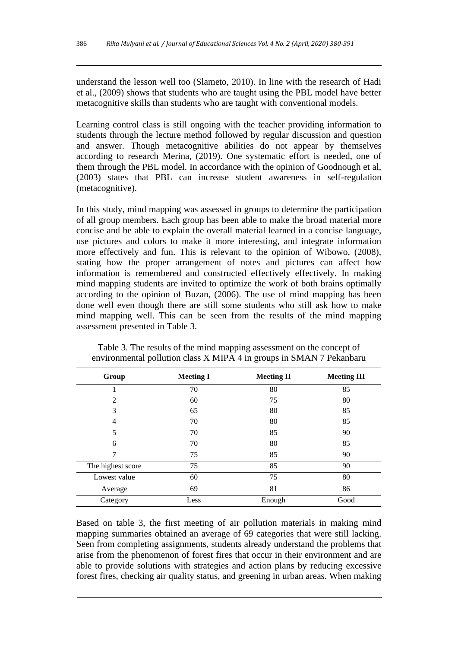understand the lesson well too (Slameto, 2010). In line with the research of Hadi et al., (2009) shows that students who are taught using the PBL model have better metacognitive skills than students who are taught with conventional models.

Learning control class is still ongoing with the teacher providing information to students through the lecture method followed by regular discussion and question and answer. Though metacognitive abilities do not appear by themselves according to research Merina, (2019). One systematic effort is needed, one of them through the PBL model. In accordance with the opinion of Goodnough et al, (2003) states that PBL can increase student awareness in self-regulation (metacognitive).

In this study, mind mapping was assessed in groups to determine the participation of all group members. Each group has been able to make the broad material more concise and be able to explain the overall material learned in a concise language, use pictures and colors to make it more interesting, and integrate information more effectively and fun. This is relevant to the opinion of Wibowo, (2008), stating how the proper arrangement of notes and pictures can affect how information is remembered and constructed effectively effectively. In making mind mapping students are invited to optimize the work of both brains optimally according to the opinion of Buzan, (2006). The use of mind mapping has been done well even though there are still some students who still ask how to make mind mapping well. This can be seen from the results of the mind mapping assessment presented in Table 3.

| Group             | <b>Meeting I</b> | <b>Meeting II</b> | <b>Meeting III</b> |
|-------------------|------------------|-------------------|--------------------|
|                   | 70               | 80                | 85                 |
| $\overline{2}$    | 60               | 75                | 80                 |
| 3                 | 65               | 80                | 85                 |
| $\overline{4}$    | 70               | 80                | 85                 |
| 5                 | 70               | 85                | 90                 |
| 6                 | 70               | 80                | 85                 |
| 7                 | 75               | 85                | 90                 |
| The highest score | 75               | 85                | 90                 |
| Lowest value      | 60               | 75                | 80                 |
| Average           | 69               | 81                | 86                 |
| Category          | Less             | Enough            | Good               |

Table 3. The results of the mind mapping assessment on the concept of environmental pollution class X MIPA 4 in groups in SMAN 7 Pekanbaru

Based on table 3, the first meeting of air pollution materials in making mind mapping summaries obtained an average of 69 categories that were still lacking. Seen from completing assignments, students already understand the problems that arise from the phenomenon of forest fires that occur in their environment and are able to provide solutions with strategies and action plans by reducing excessive forest fires, checking air quality status, and greening in urban areas. When making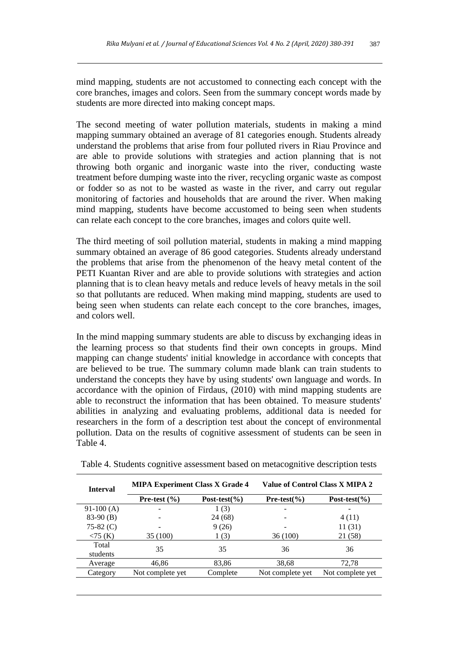mind mapping, students are not accustomed to connecting each concept with the core branches, images and colors. Seen from the summary concept words made by students are more directed into making concept maps.

The second meeting of water pollution materials, students in making a mind mapping summary obtained an average of 81 categories enough. Students already understand the problems that arise from four polluted rivers in Riau Province and are able to provide solutions with strategies and action planning that is not throwing both organic and inorganic waste into the river, conducting waste treatment before dumping waste into the river, recycling organic waste as compost or fodder so as not to be wasted as waste in the river, and carry out regular monitoring of factories and households that are around the river. When making mind mapping, students have become accustomed to being seen when students can relate each concept to the core branches, images and colors quite well.

The third meeting of soil pollution material, students in making a mind mapping summary obtained an average of 86 good categories. Students already understand the problems that arise from the phenomenon of the heavy metal content of the PETI Kuantan River and are able to provide solutions with strategies and action planning that is to clean heavy metals and reduce levels of heavy metals in the soil so that pollutants are reduced. When making mind mapping, students are used to being seen when students can relate each concept to the core branches, images, and colors well.

In the mind mapping summary students are able to discuss by exchanging ideas in the learning process so that students find their own concepts in groups. Mind mapping can change students' initial knowledge in accordance with concepts that are believed to be true. The summary column made blank can train students to understand the concepts they have by using students' own language and words. In accordance with the opinion of Firdaus, (2010) with mind mapping students are able to reconstruct the information that has been obtained. To measure students' abilities in analyzing and evaluating problems, additional data is needed for researchers in the form of a description test about the concept of environmental pollution. Data on the results of cognitive assessment of students can be seen in Table 4.

| <b>Interval</b>   | <b>MIPA Experiment Class X Grade 4</b> |                   | Value of Control Class X MIPA 2 |                   |
|-------------------|----------------------------------------|-------------------|---------------------------------|-------------------|
|                   | Pre-test $(\% )$                       | Post-test $(\% )$ | Pre-test $(\% )$                | Post-test $(\% )$ |
| $91-100(A)$       | -                                      | 1(3)              |                                 |                   |
| $83-90$ (B)       |                                        | 24 (68)           |                                 | 4(11)             |
| 75-82 $(C)$       |                                        | 9(26)             |                                 | 11(31)            |
| $<$ 75 (K)        | 35 (100)                               | 1(3)              | 36 (100)                        | 21 (58)           |
| Total<br>students | 35                                     | 35                | 36                              | 36                |
| Average           | 46,86                                  | 83,86             | 38,68                           | 72,78             |
| Category          | Not complete yet                       | Complete          | Not complete yet                | Not complete yet  |

Table 4. Students cognitive assessment based on metacognitive description tests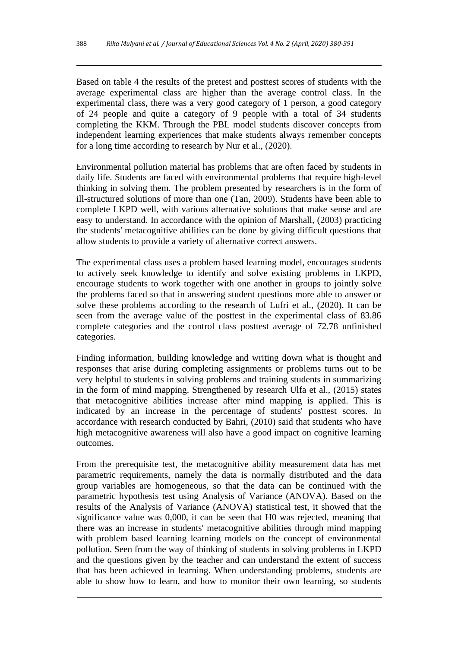Based on table 4 the results of the pretest and posttest scores of students with the average experimental class are higher than the average control class. In the experimental class, there was a very good category of 1 person, a good category of 24 people and quite a category of 9 people with a total of 34 students completing the KKM. Through the PBL model students discover concepts from independent learning experiences that make students always remember concepts for a long time according to research by Nur et al., (2020).

Environmental pollution material has problems that are often faced by students in daily life. Students are faced with environmental problems that require high-level thinking in solving them. The problem presented by researchers is in the form of ill-structured solutions of more than one (Tan, 2009). Students have been able to complete LKPD well, with various alternative solutions that make sense and are easy to understand. In accordance with the opinion of Marshall, (2003) practicing the students' metacognitive abilities can be done by giving difficult questions that allow students to provide a variety of alternative correct answers.

The experimental class uses a problem based learning model, encourages students to actively seek knowledge to identify and solve existing problems in LKPD, encourage students to work together with one another in groups to jointly solve the problems faced so that in answering student questions more able to answer or solve these problems according to the research of Lufri et al., (2020). It can be seen from the average value of the posttest in the experimental class of 83.86 complete categories and the control class posttest average of 72.78 unfinished categories.

Finding information, building knowledge and writing down what is thought and responses that arise during completing assignments or problems turns out to be very helpful to students in solving problems and training students in summarizing in the form of mind mapping. Strengthened by research Ulfa et al., (2015) states that metacognitive abilities increase after mind mapping is applied. This is indicated by an increase in the percentage of students' posttest scores. In accordance with research conducted by Bahri, (2010) said that students who have high metacognitive awareness will also have a good impact on cognitive learning outcomes.

From the prerequisite test, the metacognitive ability measurement data has met parametric requirements, namely the data is normally distributed and the data group variables are homogeneous, so that the data can be continued with the parametric hypothesis test using Analysis of Variance (ANOVA). Based on the results of the Analysis of Variance (ANOVA) statistical test, it showed that the significance value was 0,000, it can be seen that H0 was rejected, meaning that there was an increase in students' metacognitive abilities through mind mapping with problem based learning learning models on the concept of environmental pollution. Seen from the way of thinking of students in solving problems in LKPD and the questions given by the teacher and can understand the extent of success that has been achieved in learning. When understanding problems, students are able to show how to learn, and how to monitor their own learning, so students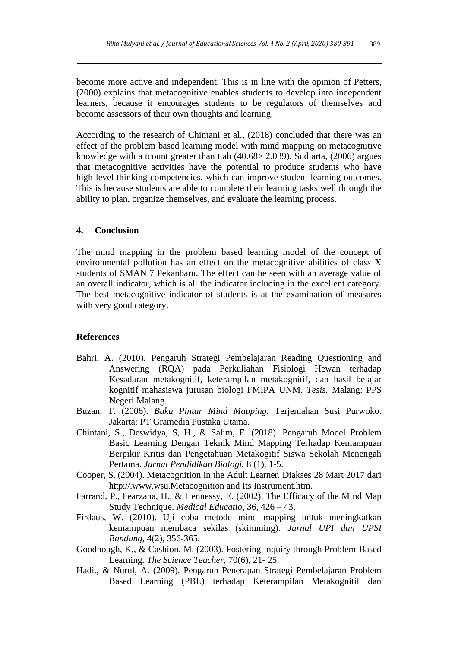become more active and independent. This is in line with the opinion of Petters, (2000) explains that metacognitive enables students to develop into independent learners, because it encourages students to be regulators of themselves and become assessors of their own thoughts and learning.

According to the research of Chintani et al., (2018) concluded that there was an effect of the problem based learning model with mind mapping on metacognitive knowledge with a tcount greater than ttab (40.68> 2.039). Sudiarta, (2006) argues that metacognitive activities have the potential to produce students who have high-level thinking competencies, which can improve student learning outcomes. This is because students are able to complete their learning tasks well through the ability to plan, organize themselves, and evaluate the learning process.

#### **4. Conclusion**

The mind mapping in the problem based learning model of the concept of environmental pollution has an effect on the metacognitive abilities of class X students of SMAN 7 Pekanbaru. The effect can be seen with an average value of an overall indicator, which is all the indicator including in the excellent category. The best metacognitive indicator of students is at the examination of measures with very good category.

#### **References**

- Bahri, A. (2010). Pengaruh Strategi Pembelajaran Reading Questioning and Answering (RQA) pada Perkuliahan Fisiologi Hewan terhadap Kesadaran metakognitif, keterampilan metakognitif, dan hasil belajar kognitif mahasiswa jurusan biologi FMIPA UNM. *Tesis.* Malang: PPS Negeri Malang.
- Buzan, T. (2006). *Buku Pintar Mind Mapping.* Terjemahan Susi Purwoko. Jakarta: PT.Gramedia Pustaka Utama.
- Chintani, S., Deswidya, S, H., & Salim, E. (2018). Pengaruh Model Problem Basic Learning Dengan Teknik Mind Mapping Terhadap Kemampuan Berpikir Kritis dan Pengetahuan Metakogitif Siswa Sekolah Menengah Pertama. *Jurnal Pendidikan Biologi.* 8 (1), 1-5.
- Cooper, S. (2004). Metacognition in the Adult Learner*.* Diakses 28 Mart 2017 dari http://.www.wsu.Metacognition and Its Instrument.htm.
- Farrand, P., Fearzana, H., & Hennessy, E. (2002). The Efficacy of the Mind Map Study Technique. *Medical Educatio*, 36, 426 – 43.
- Firdaus, W. (2010). Uji coba metode mind mapping untuk meningkatkan kemampuan membaca sekilas (skimming). *Jurnal UPI dan UPSI Bandung*, 4(2), 356-365.
- Goodnough, K., & Cashion, M. (2003). Fostering Inquiry through Problem-Based Learning*. The Science Teacher*, 70(6), 21- 25.
- Hadi., & Nurul, A. (2009). Pengaruh Penerapan Strategi Pembelajaran Problem Based Learning (PBL) terhadap Keterampilan Metakognitif dan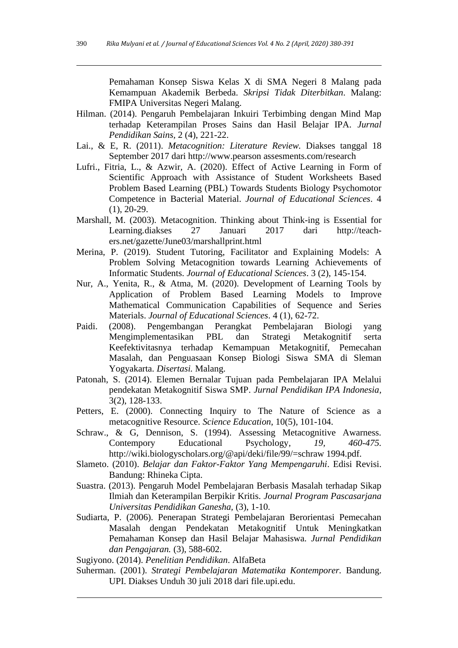Pemahaman Konsep Siswa Kelas X di SMA Negeri 8 Malang pada Kemampuan Akademik Berbeda. *Skripsi Tidak Diterbitkan*. Malang: FMIPA Universitas Negeri Malang.

- Hilman. (2014). Pengaruh Pembelajaran Inkuiri Terbimbing dengan Mind Map terhadap Keterampilan Proses Sains dan Hasil Belajar IPA. *Jurnal Pendidikan Sains,* 2 (4), 221-22.
- Lai., & E, R. (2011). *Metacognition: Literature Review.* Diakses tanggal 18 September 2017 dari http://www.pearson assesments.com/research
- Lufri., Fitria, L., & Azwir, A. (2020). Effect of Active Learning in Form of Scientific Approach with Assistance of Student Worksheets Based Problem Based Learning (PBL) Towards Students Biology Psychomotor Competence in Bacterial Material. *Journal of Educational Sciences*. 4 (1), 20-29.
- Marshall, M. (2003). Metacognition. Thinking about Think-ing is Essential for Learning*.*diakses 27 Januari 2017 dari [http://teach](http://teach-ers.net/gazette/June03/marshallprint.html)[ers.net/gazette/June03/marshallprint.html](http://teach-ers.net/gazette/June03/marshallprint.html)
- Merina, P. (2019). Student Tutoring, Facilitator and Explaining Models: A Problem Solving Metacognition towards Learning Achievements of Informatic Students. *Journal of Educational Sciences*. 3 (2), 145-154.
- Nur, A., Yenita, R., & Atma, M. (2020). Development of Learning Tools by Application of Problem Based Learning Models to Improve Mathematical Communication Capabilities of Sequence and Series Materials. *Journal of Educational Sciences*. 4 (1), 62-72.
- Paidi. (2008). Pengembangan Perangkat Pembelajaran Biologi yang Mengimplementasikan PBL dan Strategi Metakognitif serta Keefektivitasnya terhadap Kemampuan Metakognitif, Pemecahan Masalah, dan Penguasaan Konsep Biologi Siswa SMA di Sleman Yogyakarta. *Disertasi.* Malang.
- Patonah, S. (2014). Elemen Bernalar Tujuan pada Pembelajaran IPA Melalui pendekatan Metakognitif Siswa SMP. *Jurnal Pendidikan IPA Indonesia,*  3(2), 128-133.
- Petters, E. (2000). Connecting Inquiry to The Nature of Science as a metacognitive Resource. *Science Education*, 10(5), 101-104.
- Schraw., & G, Dennison, S. (1994). Assessing Metacognitive Awarness. Contempory Educational Psychology*, 19, 460-475.*  http://wiki.biologyscholars.org/@api/deki/file/99/=schraw 1994.pdf.
- Slameto. (2010). *Belajar dan Faktor-Faktor Yang Mempengaruhi*. Edisi Revisi. Bandung: Rhineka Cipta.
- Suastra. (2013). Pengaruh Model Pembelajaran Berbasis Masalah terhadap Sikap Ilmiah dan Keterampilan Berpikir Kritis. *Journal Program Pascasarjana Universitas Pendidikan Ganesha,* (3), 1-10.
- Sudiarta, P. (2006). Penerapan Strategi Pembelajaran Berorientasi Pemecahan Masalah dengan Pendekatan Metakognitif Untuk Meningkatkan Pemahaman Konsep dan Hasil Belajar Mahasiswa*. Jurnal Pendidikan dan Pengajaran.* (3), 588-602.
- Sugiyono. (2014). *Penelitian Pendidikan*. AlfaBeta
- Suherman. (2001). *Strategi Pembelajaran Matematika Kontemporer.* Bandung. UPI. Diakses Unduh 30 juli 2018 dari file.upi.edu.